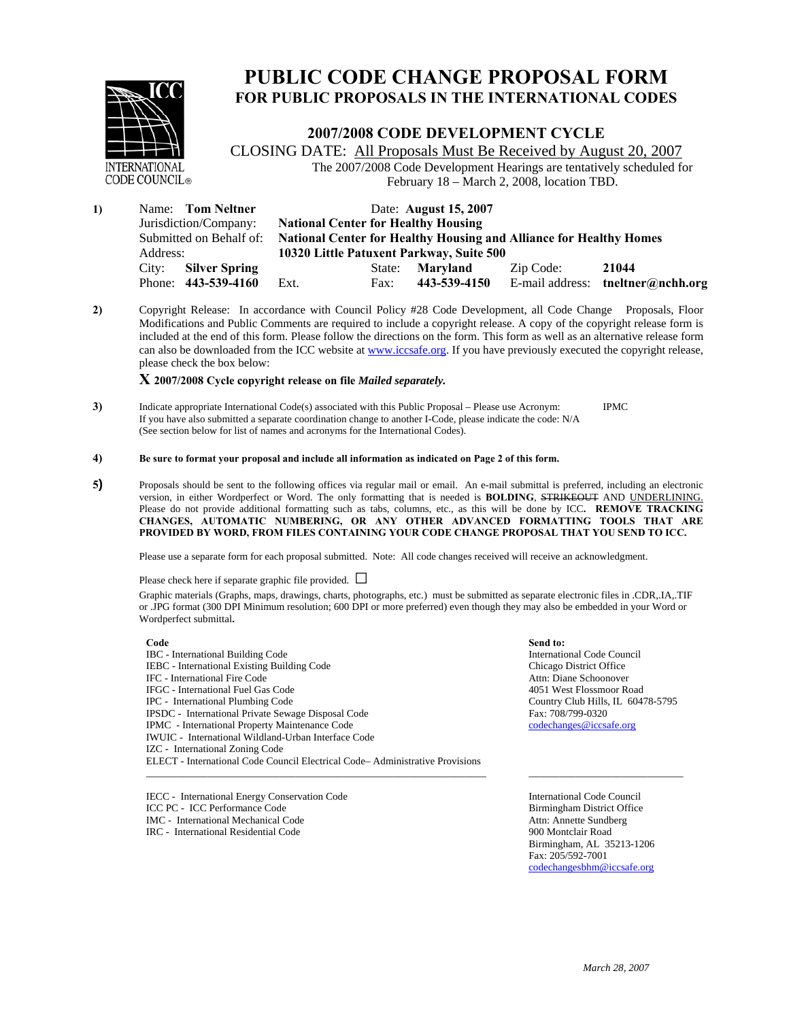

# **PUBLIC CODE CHANGE PROPOSAL FORM FOR PUBLIC PROPOSALS IN THE INTERNATIONAL CODES**

#### **2007/2008 CODE DEVELOPMENT CYCLE**

CLOSING DATE: All Proposals Must Be Received by August 20, 2007 The 2007/2008 Code Development Hearings are tentatively scheduled for February 18 – March 2, 2008, location TBD.

| $\bf{1}$ | Name: Tom Neltner             | Date: <b>August</b> 15, 2007<br><b>National Center for Healthy Housing</b> |        |              |           |                                   |
|----------|-------------------------------|----------------------------------------------------------------------------|--------|--------------|-----------|-----------------------------------|
|          | Jurisdiction/Company:         |                                                                            |        |              |           |                                   |
|          | Submitted on Behalf of:       | <b>National Center for Healthy Housing and Alliance for Healthy Homes</b>  |        |              |           |                                   |
|          | Address:                      | 10320 Little Patuxent Parkway, Suite 500                                   |        |              |           |                                   |
|          | <b>Silver Spring</b><br>City: |                                                                            | State: | Marvland     | Zip Code: | 21044                             |
|          | 443-539-4160<br>Phone:        | Ext.                                                                       | Fax:   | 443-539-4150 |           | E-mail address: tneltner@nchh.org |

**2)** Copyright Release: In accordance with Council Policy #28 Code Development, all Code Change Proposals, Floor Modifications and Public Comments are required to include a copyright release. A copy of the copyright release form is included at the end of this form. Please follow the directions on the form. This form as well as an alternative release form can also be downloaded from the ICC website at www.iccsafe.org. If you have previously executed the copyright release, please check the box below:

#### **X 2007/2008 Cycle copyright release on file** *Mailed separately.*

**3)** Indicate appropriate International Code(s) associated with this Public Proposal – Please use Acronym: IPMC If you have also submitted a separate coordination change to another I-Code, please indicate the code: N/A (See section below for list of names and acronyms for the International Codes).

#### **4) Be sure to format your proposal and include all information as indicated on Page 2 of this form.**

**5)** Proposals should be sent to the following offices via regular mail or email. An e-mail submittal is preferred, including an electronic version, in either Wordperfect or Word. The only formatting that is needed is **BOLDING**, STRIKEOUT AND UNDERLINING. Please do not provide additional formatting such as tabs, columns, etc., as this will be done by ICC**. REMOVE TRACKING CHANGES, AUTOMATIC NUMBERING, OR ANY OTHER ADVANCED FORMATTING TOOLS THAT ARE PROVIDED BY WORD, FROM FILES CONTAINING YOUR CODE CHANGE PROPOSAL THAT YOU SEND TO ICC.** 

Please use a separate form for each proposal submitted. Note: All code changes received will receive an acknowledgment.

Please check here if separate graphic file provided. **□**

Graphic materials (Graphs, maps, drawings, charts, photographs, etc.) must be submitted as separate electronic files in .CDR,.IA,.TIF or .JPG format (300 DPI Minimum resolution; 600 DPI or more preferred) even though they may also be embedded in your Word or Wordperfect submittal**.** 

**Code** Send to: **Send to: Send to: Send to: Send to: Send to: Send to: Send to: Send to: Send to: Send to: Send to: Send to: Send to: Send to: Send to: Send to: Send to: Send to: Send to** IBC - International Building Code IEBC - International Existing Building Code IFC - International Fire Code IFGC - International Fuel Gas Code IPC - International Plumbing Code IPSDC - International Private Sewage Disposal Code IPMC - International Property Maintenance Code IWUIC - International Wildland-Urban Interface Code IZC - International Zoning Code ELECT - International Code Council Electrical Code– Administrative Provisions

\_\_\_\_\_\_\_\_\_\_\_\_\_\_\_\_\_\_\_\_\_\_\_\_\_\_\_\_\_\_\_\_\_\_\_\_\_\_\_\_\_\_\_\_\_\_\_\_\_\_\_\_\_\_\_\_\_\_\_\_\_\_\_\_\_\_

International Code Council Chicago District Office Attn: Diane Schoonover 4051 West Flossmoor Road Country Club Hills, IL 60478-5795 Fax: 708/799-0320 codechanges@iccsafe.org

\_\_\_\_\_\_\_\_\_\_\_\_\_\_\_\_\_\_\_\_\_\_\_\_\_\_\_\_\_\_

IECC - International Energy Conservation Code ICC PC - ICC Performance Code IMC - International Mechanical Code IRC - International Residential Code

International Code Council Birmingham District Office Attn: Annette Sundberg 900 Montclair Road Birmingham, AL 35213-1206 Fax: 205/592-7001 codechangesbhm@iccsafe.org